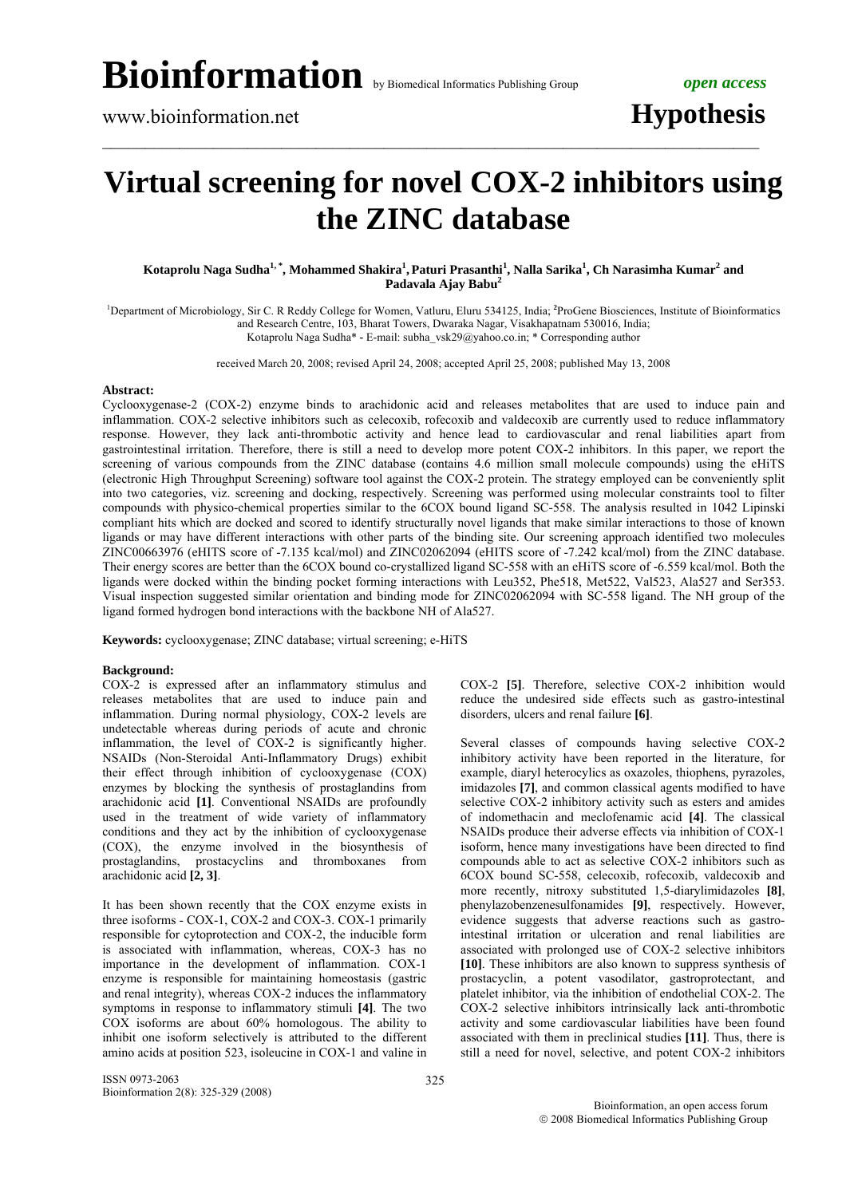## **Virtual screening for novel COX-2 inhibitors using the ZINC database**

 $\mathcal{L}_\mathcal{L} = \{ \mathcal{L}_\mathcal{L} = \{ \mathcal{L}_\mathcal{L} = \{ \mathcal{L}_\mathcal{L} = \{ \mathcal{L}_\mathcal{L} = \{ \mathcal{L}_\mathcal{L} = \{ \mathcal{L}_\mathcal{L} = \{ \mathcal{L}_\mathcal{L} = \{ \mathcal{L}_\mathcal{L} = \{ \mathcal{L}_\mathcal{L} = \{ \mathcal{L}_\mathcal{L} = \{ \mathcal{L}_\mathcal{L} = \{ \mathcal{L}_\mathcal{L} = \{ \mathcal{L}_\mathcal{L} = \{ \mathcal{L}_\mathcal{$ 

 $\bf{K}$ otaprolu Naga Sudha $^1,^\ast$ , Mohammed Shakira $^1$ , Paturi Prasanthi $^1$ , Nalla Sarika $^1,$  Ch Narasimha  $\bf{K}$ umar $^2$  and **Padavala Ajay Babu<sup>2</sup>**

<sup>1</sup>Department of Microbiology, Sir C. R Reddy College for Women, Vatluru, Eluru 534125, India; <sup>2</sup>ProGene Biosciences, Institute of Bioinformatics and Research Centre, 103, Bharat Towers, Dwaraka Nagar, Visakhapatnam 530016, India; Kotaprolu Naga Sudha\* **-** E-mail: subha\_vsk29@yahoo.co.in; \* Corresponding author

received March 20, 2008; revised April 24, 2008; accepted April 25, 2008; published May 13, 2008

### **Abstract:**

Cyclooxygenase-2 (COX-2) enzyme binds to arachidonic acid and releases metabolites that are used to induce pain and inflammation. COX-2 selective inhibitors such as celecoxib, rofecoxib and valdecoxib are currently used to reduce inflammatory response. However, they lack anti-thrombotic activity and hence lead to cardiovascular and renal liabilities apart from gastrointestinal irritation. Therefore, there is still a need to develop more potent COX-2 inhibitors. In this paper, we report the screening of various compounds from the ZINC database (contains 4.6 million small molecule compounds) using the eHiTS (electronic High Throughput Screening) software tool against the COX-2 protein. The strategy employed can be conveniently split into two categories, viz. screening and docking, respectively. Screening was performed using molecular constraints tool to filter compounds with physico-chemical properties similar to the 6COX bound ligand SC-558. The analysis resulted in 1042 Lipinski compliant hits which are docked and scored to identify structurally novel ligands that make similar interactions to those of known ligands or may have different interactions with other parts of the binding site. Our screening approach identified two molecules ZINC00663976 (eHITS score of -7.135 kcal/mol) and ZINC02062094 (eHITS score of -7.242 kcal/mol) from the ZINC database. Their energy scores are better than the 6COX bound co-crystallized ligand SC-558 with an eHiTS score of -6.559 kcal/mol. Both the ligands were docked within the binding pocket forming interactions with Leu352, Phe518, Met522, Val523, Ala527 and Ser353. Visual inspection suggested similar orientation and binding mode for ZINC02062094 with SC-558 ligand. The NH group of the ligand formed hydrogen bond interactions with the backbone NH of Ala527.

**Keywords:** cyclooxygenase; ZINC database; virtual screening; e-HiTS

### **Background:**

COX-2 is expressed after an inflammatory stimulus and releases metabolites that are used to induce pain and inflammation. During normal physiology, COX-2 levels are undetectable whereas during periods of acute and chronic inflammation, the level of COX-2 is significantly higher. NSAIDs (Non-Steroidal Anti-Inflammatory Drugs) exhibit their effect through inhibition of cyclooxygenase (COX) enzymes by blocking the synthesis of prostaglandins from arachidonic acid **[1]**. Conventional NSAIDs are profoundly used in the treatment of wide variety of inflammatory conditions and they act by the inhibition of cyclooxygenase (COX), the enzyme involved in the biosynthesis of prostaglandins, prostacyclins and thromboxanes from arachidonic acid **[2, 3]**.

It has been shown recently that the COX enzyme exists in three isoforms - COX-1, COX-2 and COX-3. COX-1 primarily responsible for cytoprotection and COX-2, the inducible form is associated with inflammation, whereas, COX-3 has no importance in the development of inflammation. COX-1 enzyme is responsible for maintaining homeostasis (gastric and renal integrity), whereas COX-2 induces the inflammatory symptoms in response to inflammatory stimuli **[4]**. The two  $\overrightarrow{COX}$  isoforms are about 60% homologous. The ability to inhibit one isoform selectively is attributed to the different amino acids at position 523, isoleucine in COX-1 and valine in

ISSN 0973-2063 Bioinformation 2(8): 325-329 (2008) 325

COX-2 **[5]**. Therefore, selective COX-2 inhibition would reduce the undesired side effects such as gastro-intestinal disorders, ulcers and renal failure **[6]**.

Several classes of compounds having selective COX-2 inhibitory activity have been reported in the literature, for example, diaryl heterocylics as oxazoles, thiophens, pyrazoles, imidazoles **[7]**, and common classical agents modified to have selective COX-2 inhibitory activity such as esters and amides of indomethacin and meclofenamic acid **[4]**. The classical NSAIDs produce their adverse effects via inhibition of COX-1 isoform, hence many investigations have been directed to find compounds able to act as selective COX-2 inhibitors such as 6COX bound SC-558, celecoxib, rofecoxib, valdecoxib and more recently, nitroxy substituted 1,5-diarylimidazoles **[8]**, phenylazobenzenesulfonamides **[9]**, respectively. However, evidence suggests that adverse reactions such as gastrointestinal irritation or ulceration and renal liabilities are associated with prolonged use of COX-2 selective inhibitors **[10]**. These inhibitors are also known to suppress synthesis of prostacyclin, a potent vasodilator, gastroprotectant, and platelet inhibitor, via the inhibition of endothelial COX-2. The COX-2 selective inhibitors intrinsically lack anti-thrombotic activity and some cardiovascular liabilities have been found associated with them in preclinical studies **[11]**. Thus, there is still a need for novel, selective, and potent COX-2 inhibitors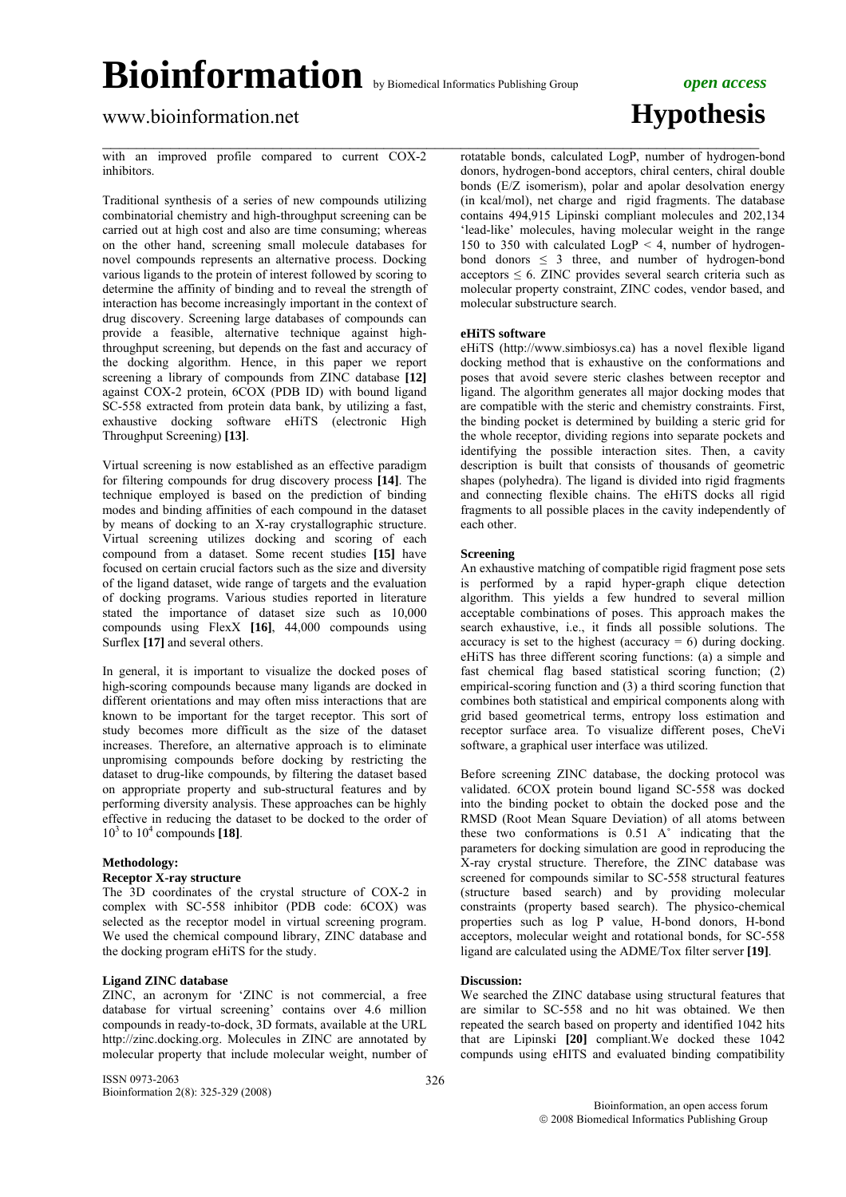$\mathcal{L}_\mathcal{L} = \{ \mathcal{L}_\mathcal{L} = \{ \mathcal{L}_\mathcal{L} = \{ \mathcal{L}_\mathcal{L} = \{ \mathcal{L}_\mathcal{L} = \{ \mathcal{L}_\mathcal{L} = \{ \mathcal{L}_\mathcal{L} = \{ \mathcal{L}_\mathcal{L} = \{ \mathcal{L}_\mathcal{L} = \{ \mathcal{L}_\mathcal{L} = \{ \mathcal{L}_\mathcal{L} = \{ \mathcal{L}_\mathcal{L} = \{ \mathcal{L}_\mathcal{L} = \{ \mathcal{L}_\mathcal{L} = \{ \mathcal{L}_\mathcal{$ 

www.bioinformation.net **Hypothesis** 

with an improved profile compared to current COX-2 inhibitors.

Traditional synthesis of a series of new compounds utilizing combinatorial chemistry and high-throughput screening can be carried out at high cost and also are time consuming; whereas on the other hand, screening small molecule databases for novel compounds represents an alternative process. Docking various ligands to the protein of interest followed by scoring to determine the affinity of binding and to reveal the strength of interaction has become increasingly important in the context of drug discovery. Screening large databases of compounds can provide a feasible, alternative technique against highthroughput screening, but depends on the fast and accuracy of the docking algorithm. Hence, in this paper we report screening a library of compounds from ZINC database **[12]** against COX-2 protein, 6COX (PDB ID) with bound ligand SC-558 extracted from protein data bank, by utilizing a fast, exhaustive docking software eHiTS (electronic High Throughput Screening) **[13]**.

Virtual screening is now established as an effective paradigm for filtering compounds for drug discovery process **[14]**. The technique employed is based on the prediction of binding modes and binding affinities of each compound in the dataset by means of docking to an X-ray crystallographic structure. Virtual screening utilizes docking and scoring of each compound from a dataset. Some recent studies **[15]** have focused on certain crucial factors such as the size and diversity of the ligand dataset, wide range of targets and the evaluation of docking programs. Various studies reported in literature stated the importance of dataset size such as 10,000 compounds using FlexX **[16]**, 44,000 compounds using Surflex **[17]** and several others.

In general, it is important to visualize the docked poses of high-scoring compounds because many ligands are docked in different orientations and may often miss interactions that are known to be important for the target receptor. This sort of study becomes more difficult as the size of the dataset increases. Therefore, an alternative approach is to eliminate unpromising compounds before docking by restricting the dataset to drug-like compounds, by filtering the dataset based on appropriate property and sub-structural features and by performing diversity analysis. These approaches can be highly effective in reducing the dataset to be docked to the order of  $10^3$  to  $10^4$  compounds [18].

## **Methodology:**

### **Receptor X-ray structure**

The 3D coordinates of the crystal structure of COX-2 in complex with SC-558 inhibitor (PDB code: 6COX) was selected as the receptor model in virtual screening program. We used the chemical compound library, ZINC database and the docking program eHiTS for the study.

## **Ligand ZINC database**

ZINC, an acronym for 'ZINC is not commercial, a free database for virtual screening' contains over 4.6 million compounds in ready-to-dock, 3D formats, available at the URL http://zinc.docking.org. Molecules in ZINC are annotated by molecular property that include molecular weight, number of

ISSN 0973-2063 Bioinformation 2(8): 325-329 (2008) rotatable bonds, calculated LogP, number of hydrogen-bond donors, hydrogen-bond acceptors, chiral centers, chiral double bonds (E/Z isomerism), polar and apolar desolvation energy (in kcal/mol), net charge and rigid fragments. The database contains 494,915 Lipinski compliant molecules and 202,134 'lead-like' molecules, having molecular weight in the range 150 to 350 with calculated  $LogP < 4$ , number of hydrogenbond donors  $\leq$  3 three, and number of hydrogen-bond  $acceptors \leq 6$ . ZINC provides several search criteria such as molecular property constraint, ZINC codes, vendor based, and molecular substructure search.

## **eHiTS software**

eHiTS (http://www.simbiosys.ca) has a novel flexible ligand docking method that is exhaustive on the conformations and poses that avoid severe steric clashes between receptor and ligand. The algorithm generates all major docking modes that are compatible with the steric and chemistry constraints. First, the binding pocket is determined by building a steric grid for the whole receptor, dividing regions into separate pockets and identifying the possible interaction sites. Then, a cavity description is built that consists of thousands of geometric shapes (polyhedra). The ligand is divided into rigid fragments and connecting flexible chains. The eHiTS docks all rigid fragments to all possible places in the cavity independently of each other.

### **Screening**

An exhaustive matching of compatible rigid fragment pose sets is performed by a rapid hyper-graph clique detection algorithm. This yields a few hundred to several million acceptable combinations of poses. This approach makes the search exhaustive, i.e., it finds all possible solutions. The accuracy is set to the highest (accuracy  $= 6$ ) during docking. eHiTS has three different scoring functions: (a) a simple and fast chemical flag based statistical scoring function; (2) empirical-scoring function and (3) a third scoring function that combines both statistical and empirical components along with grid based geometrical terms, entropy loss estimation and receptor surface area. To visualize different poses, CheVi software, a graphical user interface was utilized.

Before screening ZINC database, the docking protocol was validated. 6COX protein bound ligand SC-558 was docked into the binding pocket to obtain the docked pose and the RMSD (Root Mean Square Deviation) of all atoms between these two conformations is 0.51 A˚ indicating that the parameters for docking simulation are good in reproducing the X-ray crystal structure. Therefore, the ZINC database was screened for compounds similar to SC-558 structural features (structure based search) and by providing molecular constraints (property based search). The physico-chemical properties such as log P value, H-bond donors, H-bond acceptors, molecular weight and rotational bonds, for SC-558 ligand are calculated using the ADME/Tox filter server **[19]**.

### **Discussion:**

We searched the ZINC database using structural features that are similar to SC-558 and no hit was obtained. We then repeated the search based on property and identified 1042 hits that are Lipinski **[20]** compliant.We docked these 1042 compunds using eHITS and evaluated binding compatibility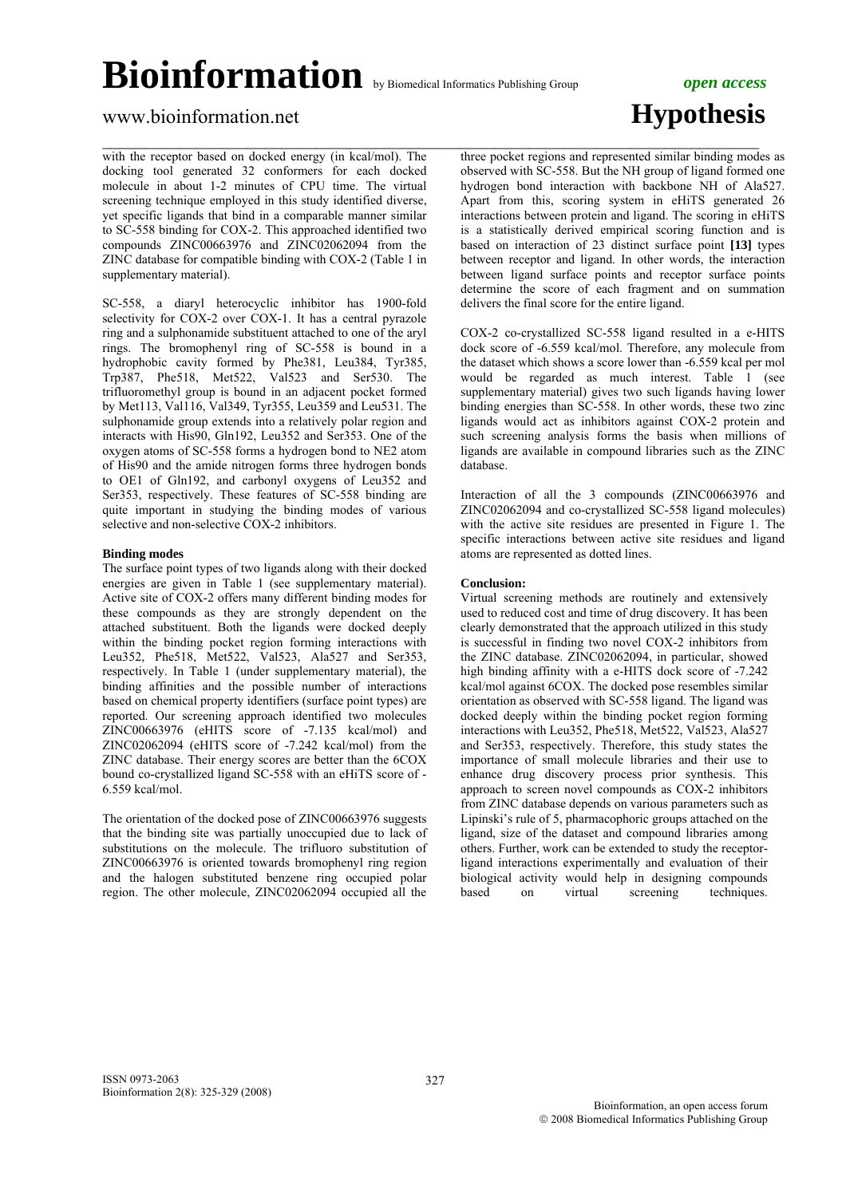## www.bioinformation.net **Hypothesis**

with the receptor based on docked energy (in kcal/mol). The docking tool generated 32 conformers for each docked molecule in about 1-2 minutes of CPU time. The virtual screening technique employed in this study identified diverse, yet specific ligands that bind in a comparable manner similar to SC-558 binding for COX-2. This approached identified two compounds ZINC00663976 and ZINC02062094 from the ZINC database for compatible binding with COX-2 (Table 1 in supplementary material).

SC-558, a diaryl heterocyclic inhibitor has 1900-fold selectivity for COX-2 over COX-1. It has a central pyrazole ring and a sulphonamide substituent attached to one of the aryl rings. The bromophenyl ring of SC-558 is bound in a hydrophobic cavity formed by Phe381, Leu384, Tyr385, Trp387, Phe518, Met522, Val523 and Ser530. The trifluoromethyl group is bound in an adjacent pocket formed by Met113, Val116, Val349, Tyr355, Leu359 and Leu531. The sulphonamide group extends into a relatively polar region and interacts with His90, Gln192, Leu352 and Ser353. One of the oxygen atoms of SC-558 forms a hydrogen bond to NE2 atom of His90 and the amide nitrogen forms three hydrogen bonds to OE1 of Gln192, and carbonyl oxygens of Leu352 and Ser353, respectively. These features of SC-558 binding are quite important in studying the binding modes of various selective and non-selective COX-2 inhibitors.

### **Binding modes**

The surface point types of two ligands along with their docked energies are given in Table 1 (see supplementary material). Active site of COX-2 offers many different binding modes for these compounds as they are strongly dependent on the attached substituent. Both the ligands were docked deeply within the binding pocket region forming interactions with Leu352, Phe518, Met522, Val523, Ala527 and Ser353, respectively. In Table 1 (under supplementary material), the binding affinities and the possible number of interactions based on chemical property identifiers (surface point types) are reported. Our screening approach identified two molecules ZINC00663976 (eHITS score of -7.135 kcal/mol) and ZINC02062094 (eHITS score of -7.242 kcal/mol) from the ZINC database. Their energy scores are better than the 6COX bound co-crystallized ligand SC-558 with an eHiTS score of - 6.559 kcal/mol.

The orientation of the docked pose of ZINC00663976 suggests that the binding site was partially unoccupied due to lack of substitutions on the molecule. The trifluoro substitution of ZINC00663976 is oriented towards bromophenyl ring region and the halogen substituted benzene ring occupied polar region. The other molecule, ZINC02062094 occupied all the

 $\mathcal{L}_\mathcal{L} = \{ \mathcal{L}_\mathcal{L} = \{ \mathcal{L}_\mathcal{L} = \{ \mathcal{L}_\mathcal{L} = \{ \mathcal{L}_\mathcal{L} = \{ \mathcal{L}_\mathcal{L} = \{ \mathcal{L}_\mathcal{L} = \{ \mathcal{L}_\mathcal{L} = \{ \mathcal{L}_\mathcal{L} = \{ \mathcal{L}_\mathcal{L} = \{ \mathcal{L}_\mathcal{L} = \{ \mathcal{L}_\mathcal{L} = \{ \mathcal{L}_\mathcal{L} = \{ \mathcal{L}_\mathcal{L} = \{ \mathcal{L}_\mathcal{$ three pocket regions and represented similar binding modes as observed with SC-558. But the NH group of ligand formed one hydrogen bond interaction with backbone NH of Ala527. Apart from this, scoring system in eHiTS generated 26 interactions between protein and ligand. The scoring in eHiTS is a statistically derived empirical scoring function and is based on interaction of 23 distinct surface point **[13]** types between receptor and ligand. In other words, the interaction between ligand surface points and receptor surface points determine the score of each fragment and on summation delivers the final score for the entire ligand.

> COX-2 co-crystallized SC-558 ligand resulted in a e-HITS dock score of -6.559 kcal/mol. Therefore, any molecule from the dataset which shows a score lower than -6.559 kcal per mol would be regarded as much interest. Table 1 (see supplementary material) gives two such ligands having lower binding energies than SC-558. In other words, these two zinc ligands would act as inhibitors against COX-2 protein and such screening analysis forms the basis when millions of ligands are available in compound libraries such as the ZINC database.

> Interaction of all the 3 compounds (ZINC00663976 and ZINC02062094 and co-crystallized SC-558 ligand molecules) with the active site residues are presented in Figure 1. The specific interactions between active site residues and ligand atoms are represented as dotted lines.

## **Conclusion:**

Virtual screening methods are routinely and extensively used to reduced cost and time of drug discovery. It has been clearly demonstrated that the approach utilized in this study is successful in finding two novel COX-2 inhibitors from the ZINC database. ZINC02062094, in particular, showed high binding affinity with a e-HITS dock score of -7.242 kcal/mol against 6COX. The docked pose resembles similar orientation as observed with SC-558 ligand. The ligand was docked deeply within the binding pocket region forming interactions with Leu352, Phe518, Met522, Val523, Ala527 and Ser353, respectively. Therefore, this study states the importance of small molecule libraries and their use to enhance drug discovery process prior synthesis. This approach to screen novel compounds as COX-2 inhibitors from ZINC database depends on various parameters such as Lipinski's rule of 5, pharmacophoric groups attached on the ligand, size of the dataset and compound libraries among others. Further, work can be extended to study the receptorligand interactions experimentally and evaluation of their biological activity would help in designing compounds based on virtual screening techniques.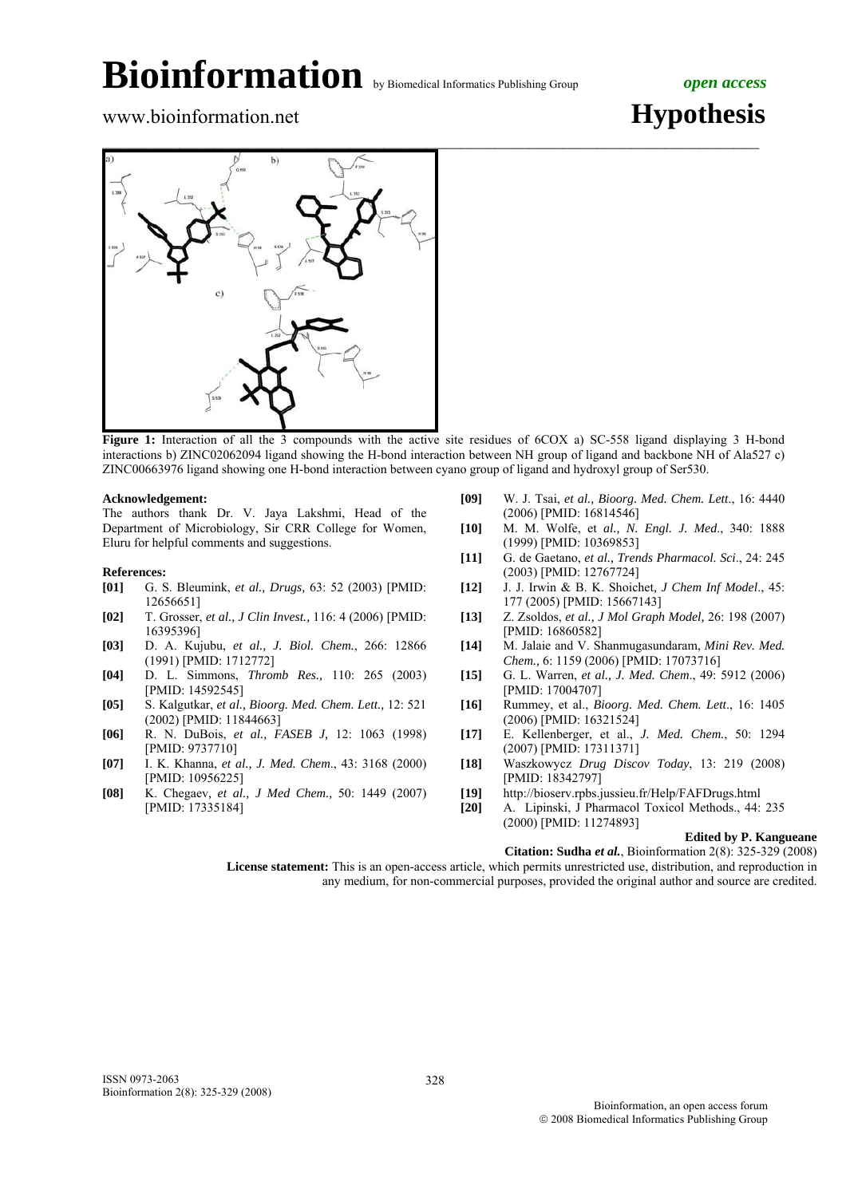



**Figure 1:** Interaction of all the 3 compounds with the active site residues of 6COX a) SC-558 ligand displaying 3 H-bond interactions b) ZINC02062094 ligand showing the H-bond interaction between NH group of ligand and backbone NH of Ala527 c) ZINC00663976 ligand showing one H-bond interaction between cyano group of ligand and hydroxyl group of Ser530.

## **Acknowledgement:**

The authors thank Dr. V. Jaya Lakshmi, Head of the Department of Microbiology, Sir CRR College for Women, Eluru for helpful comments and suggestions.

## **References: [01] G. S**

- **[01]** G. S. Bleumink, *et al., Drugs,* 63: 52 (2003) [PMID: 12656651]
- **[02]** T. Grosser, *et al., J Clin Invest.,* 116: 4 (2006) [PMID: 16395396]
- **[03]** D. A. Kujubu, *et al., J. Biol. Chem.*, 266: 12866 (1991) [PMID: 1712772]
- **[04]** D. L. Simmons, *Thromb Res.,* 110: 265 (2003) [PMID: 14592545]
- **[05]** S. Kalgutkar, *et al., Bioorg. Med. Chem. Lett.,* 12: 521 (2002) [PMID: 11844663]
- **[06]** R. N. DuBois, *et al., FASEB J,* 12: 1063 (1998) [PMID: 9737710]
- **[07]** I. K. Khanna, *et al., J. Med. Chem*., 43: 3168 (2000) [PMID: 10956225]
- **[08]** K. Chegaev*, et al., J Med Chem.,* 50: 1449 (2007) [PMID: 17335184]
- **[09]** W. J. Tsai, *et al., Bioorg. Med. Chem. Lett*., 16: 4440 (2006) [PMID: 16814546]
- **[10]** M. M. Wolfe, et *al., N. Engl. J. Med*., 340: 1888 (1999) [PMID: 10369853]
- **[11]** G. de Gaetano, *et al., Trends Pharmacol. Sci*., 24: 245 (2003) [PMID: 12767724]
- **[12]** J. J. Irwin & B. K. Shoichet*, J Chem Inf Model*., 45: 177 (2005) [PMID: 15667143]
- **[13]** Z. Zsoldos, *et al., J Mol Graph Model,* 26: 198 (2007) [PMID: 16860582]
- **[14]** M. Jalaie and V. Shanmugasundaram, *Mini Rev. Med. Chem.,* 6: 1159 (2006) [PMID: 17073716]
- **[15]** G. L. Warren, *et al., J. Med. Chem*., 49: 5912 (2006) [PMID: 17004707]
- **[16]** Rummey, et al., *Bioorg. Med. Chem. Lett*., 16: 1405 (2006) [PMID: 16321524]
- **[17]** E. Kellenberger, et al., *J. Med. Chem.*, 50: 1294 (2007) [PMID: 17311371]
- **[18]** Waszkowycz *Drug Discov Today*, 13: 219 (2008) [PMID: 18342797]
- **[19]** http://bioserv.rpbs.jussieu.fr/Help/FAFDrugs.html
- **[20]** A. Lipinski, J Pharmacol Toxicol Methods., 44: 235 (2000) [PMID: 11274893]

## **Edited by P. Kangueane**

 **Citation: Sudha** *et al.*, Bioinformation 2(8): 325-329 (2008)

 **License statement:** This is an open-access article, which permits unrestricted use, distribution, and reproduction in any medium, for non-commercial purposes, provided the original author and source are credited.